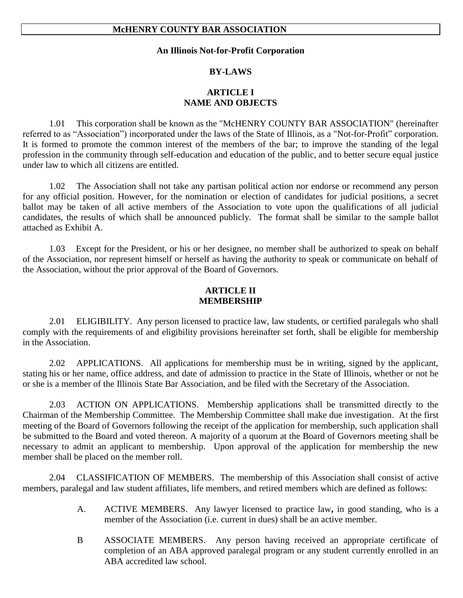#### **An Illinois Not-for-Profit Corporation**

#### **BY-LAWS**

## **ARTICLE I NAME AND OBJECTS**

1.01 This corporation shall be known as the "McHENRY COUNTY BAR ASSOCIATION" (hereinafter referred to as "Association") incorporated under the laws of the State of Illinois, as a "Not-for-Profit" corporation. It is formed to promote the common interest of the members of the bar; to improve the standing of the legal profession in the community through self-education and education of the public, and to better secure equal justice under law to which all citizens are entitled.

1.02 The Association shall not take any partisan political action nor endorse or recommend any person for any official position. However, for the nomination or election of candidates for judicial positions, a secret ballot may be taken of all active members of the Association to vote upon the qualifications of all judicial candidates, the results of which shall be announced publicly. The format shall be similar to the sample ballot attached as Exhibit A.

1.03 Except for the President, or his or her designee, no member shall be authorized to speak on behalf of the Association, nor represent himself or herself as having the authority to speak or communicate on behalf of the Association, without the prior approval of the Board of Governors.

## **ARTICLE II MEMBERSHIP**

2.01 ELIGIBILITY. Any person licensed to practice law, law students, or certified paralegals who shall comply with the requirements of and eligibility provisions hereinafter set forth, shall be eligible for membership in the Association.

2.02 APPLICATIONS. All applications for membership must be in writing, signed by the applicant, stating his or her name, office address, and date of admission to practice in the State of Illinois, whether or not he or she is a member of the Illinois State Bar Association, and be filed with the Secretary of the Association.

2.03 ACTION ON APPLICATIONS. Membership applications shall be transmitted directly to the Chairman of the Membership Committee. The Membership Committee shall make due investigation. At the first meeting of the Board of Governors following the receipt of the application for membership, such application shall be submitted to the Board and voted thereon. A majority of a quorum at the Board of Governors meeting shall be necessary to admit an applicant to membership. Upon approval of the application for membership the new member shall be placed on the member roll.

2.04 CLASSIFICATION OF MEMBERS. The membership of this Association shall consist of active members, paralegal and law student affiliates, life members, and retired members which are defined as follows:

- A. ACTIVE MEMBERS. Any lawyer licensed to practice law**,** in good standing, who is a member of the Association (i.e. current in dues) shall be an active member.
- B ASSOCIATE MEMBERS. Any person having received an appropriate certificate of completion of an ABA approved paralegal program or any student currently enrolled in an ABA accredited law school.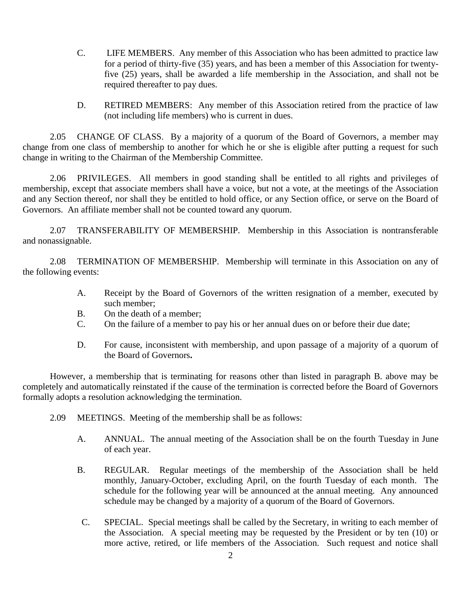- C. LIFE MEMBERS. Any member of this Association who has been admitted to practice law for a period of thirty-five (35) years, and has been a member of this Association for twentyfive (25) years, shall be awarded a life membership in the Association, and shall not be required thereafter to pay dues.
- D. RETIRED MEMBERS: Any member of this Association retired from the practice of law (not including life members) who is current in dues.

2.05 CHANGE OF CLASS. By a majority of a quorum of the Board of Governors, a member may change from one class of membership to another for which he or she is eligible after putting a request for such change in writing to the Chairman of the Membership Committee.

2.06 PRIVILEGES. All members in good standing shall be entitled to all rights and privileges of membership, except that associate members shall have a voice, but not a vote, at the meetings of the Association and any Section thereof, nor shall they be entitled to hold office, or any Section office, or serve on the Board of Governors. An affiliate member shall not be counted toward any quorum.

2.07 TRANSFERABILITY OF MEMBERSHIP. Membership in this Association is nontransferable and nonassignable.

2.08 TERMINATION OF MEMBERSHIP. Membership will terminate in this Association on any of the following events:

- A. Receipt by the Board of Governors of the written resignation of a member, executed by such member;
- B. On the death of a member;
- C. On the failure of a member to pay his or her annual dues on or before their due date;
- D. For cause, inconsistent with membership, and upon passage of a majority of a quorum of the Board of Governors**.**

However, a membership that is terminating for reasons other than listed in paragraph B. above may be completely and automatically reinstated if the cause of the termination is corrected before the Board of Governors formally adopts a resolution acknowledging the termination.

- 2.09 MEETINGS. Meeting of the membership shall be as follows:
	- A. ANNUAL. The annual meeting of the Association shall be on the fourth Tuesday in June of each year.
	- B. REGULAR. Regular meetings of the membership of the Association shall be held monthly, January-October, excluding April, on the fourth Tuesday of each month. The schedule for the following year will be announced at the annual meeting. Any announced schedule may be changed by a majority of a quorum of the Board of Governors.
	- C. SPECIAL. Special meetings shall be called by the Secretary, in writing to each member of the Association. A special meeting may be requested by the President or by ten (10) or more active, retired, or life members of the Association. Such request and notice shall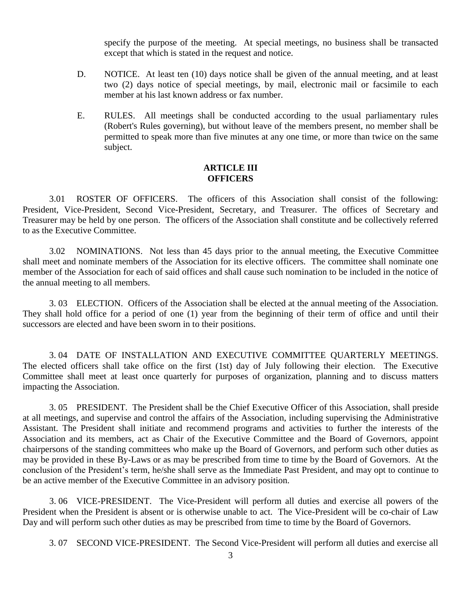specify the purpose of the meeting. At special meetings, no business shall be transacted except that which is stated in the request and notice.

- D. NOTICE. At least ten (10) days notice shall be given of the annual meeting, and at least two (2) days notice of special meetings, by mail, electronic mail or facsimile to each member at his last known address or fax number.
- E. RULES. All meetings shall be conducted according to the usual parliamentary rules (Robert's Rules governing), but without leave of the members present, no member shall be permitted to speak more than five minutes at any one time, or more than twice on the same subject.

### **ARTICLE III OFFICERS**

3.01 ROSTER OF OFFICERS. The officers of this Association shall consist of the following: President, Vice-President, Second Vice-President, Secretary, and Treasurer. The offices of Secretary and Treasurer may be held by one person. The officers of the Association shall constitute and be collectively referred to as the Executive Committee.

3.02 NOMINATIONS. Not less than 45 days prior to the annual meeting, the Executive Committee shall meet and nominate members of the Association for its elective officers. The committee shall nominate one member of the Association for each of said offices and shall cause such nomination to be included in the notice of the annual meeting to all members.

3. 03 ELECTION. Officers of the Association shall be elected at the annual meeting of the Association. They shall hold office for a period of one (1) year from the beginning of their term of office and until their successors are elected and have been sworn in to their positions.

3. 04 DATE OF INSTALLATION AND EXECUTIVE COMMITTEE QUARTERLY MEETINGS. The elected officers shall take office on the first (1st) day of July following their election. The Executive Committee shall meet at least once quarterly for purposes of organization, planning and to discuss matters impacting the Association.

3. 05 PRESIDENT. The President shall be the Chief Executive Officer of this Association, shall preside at all meetings, and supervise and control the affairs of the Association, including supervising the Administrative Assistant. The President shall initiate and recommend programs and activities to further the interests of the Association and its members, act as Chair of the Executive Committee and the Board of Governors, appoint chairpersons of the standing committees who make up the Board of Governors, and perform such other duties as may be provided in these By-Laws or as may be prescribed from time to time by the Board of Governors. At the conclusion of the President's term, he/she shall serve as the Immediate Past President, and may opt to continue to be an active member of the Executive Committee in an advisory position.

3. 06 VICE-PRESIDENT. The Vice-President will perform all duties and exercise all powers of the President when the President is absent or is otherwise unable to act. The Vice-President will be co-chair of Law Day and will perform such other duties as may be prescribed from time to time by the Board of Governors.

3. 07 SECOND VICE-PRESIDENT. The Second Vice-President will perform all duties and exercise all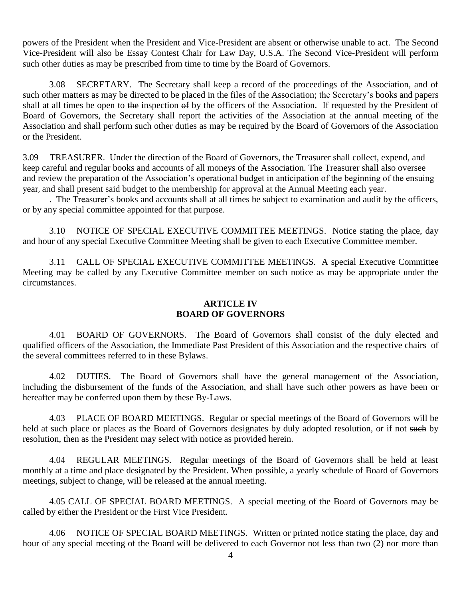powers of the President when the President and Vice-President are absent or otherwise unable to act. The Second Vice-President will also be Essay Contest Chair for Law Day, U.S.A. The Second Vice-President will perform such other duties as may be prescribed from time to time by the Board of Governors.

3.08 SECRETARY. The Secretary shall keep a record of the proceedings of the Association, and of such other matters as may be directed to be placed in the files of the Association; the Secretary's books and papers shall at all times be open to the inspection of by the officers of the Association. If requested by the President of Board of Governors, the Secretary shall report the activities of the Association at the annual meeting of the Association and shall perform such other duties as may be required by the Board of Governors of the Association or the President.

3.09 TREASURER. Under the direction of the Board of Governors, the Treasurer shall collect, expend, and keep careful and regular books and accounts of all moneys of the Association. The Treasurer shall also oversee and review the preparation of the Association's operational budget in anticipation of the beginning of the ensuing year, and shall present said budget to the membership for approval at the Annual Meeting each year.

. The Treasurer's books and accounts shall at all times be subject to examination and audit by the officers, or by any special committee appointed for that purpose.

3.10 NOTICE OF SPECIAL EXECUTIVE COMMITTEE MEETINGS. Notice stating the place, day and hour of any special Executive Committee Meeting shall be given to each Executive Committee member.

3.11 CALL OF SPECIAL EXECUTIVE COMMITTEE MEETINGS. A special Executive Committee Meeting may be called by any Executive Committee member on such notice as may be appropriate under the circumstances.

## **ARTICLE IV BOARD OF GOVERNORS**

4.01 BOARD OF GOVERNORS. The Board of Governors shall consist of the duly elected and qualified officers of the Association, the Immediate Past President of this Association and the respective chairs of the several committees referred to in these Bylaws.

4.02 DUTIES. The Board of Governors shall have the general management of the Association, including the disbursement of the funds of the Association, and shall have such other powers as have been or hereafter may be conferred upon them by these By-Laws.

4.03 PLACE OF BOARD MEETINGS. Regular or special meetings of the Board of Governors will be held at such place or places as the Board of Governors designates by duly adopted resolution, or if not such by resolution, then as the President may select with notice as provided herein.

4.04 REGULAR MEETINGS. Regular meetings of the Board of Governors shall be held at least monthly at a time and place designated by the President. When possible, a yearly schedule of Board of Governors meetings, subject to change, will be released at the annual meeting.

4.05 CALL OF SPECIAL BOARD MEETINGS. A special meeting of the Board of Governors may be called by either the President or the First Vice President.

4.06 NOTICE OF SPECIAL BOARD MEETINGS. Written or printed notice stating the place, day and hour of any special meeting of the Board will be delivered to each Governor not less than two (2) nor more than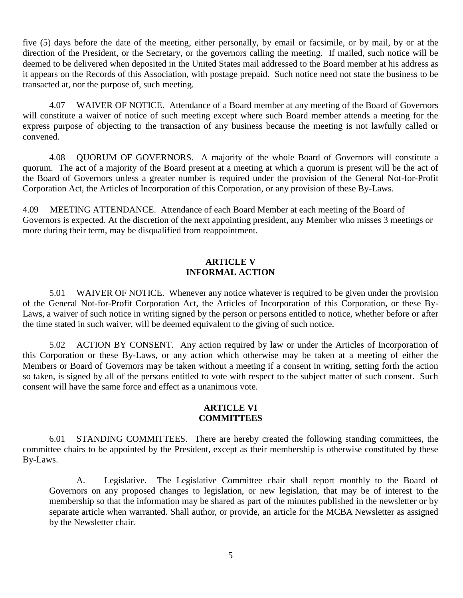five (5) days before the date of the meeting, either personally, by email or facsimile, or by mail, by or at the direction of the President, or the Secretary, or the governors calling the meeting. If mailed, such notice will be deemed to be delivered when deposited in the United States mail addressed to the Board member at his address as it appears on the Records of this Association, with postage prepaid. Such notice need not state the business to be transacted at, nor the purpose of, such meeting.

4.07 WAIVER OF NOTICE. Attendance of a Board member at any meeting of the Board of Governors will constitute a waiver of notice of such meeting except where such Board member attends a meeting for the express purpose of objecting to the transaction of any business because the meeting is not lawfully called or convened.

4.08 QUORUM OF GOVERNORS. A majority of the whole Board of Governors will constitute a quorum. The act of a majority of the Board present at a meeting at which a quorum is present will be the act of the Board of Governors unless a greater number is required under the provision of the General Not-for-Profit Corporation Act, the Articles of Incorporation of this Corporation, or any provision of these By-Laws.

4.09 MEETING ATTENDANCE. Attendance of each Board Member at each meeting of the Board of Governors is expected. At the discretion of the next appointing president, any Member who misses 3 meetings or more during their term, may be disqualified from reappointment.

## **ARTICLE V INFORMAL ACTION**

5.01 WAIVER OF NOTICE. Whenever any notice whatever is required to be given under the provision of the General Not-for-Profit Corporation Act, the Articles of Incorporation of this Corporation, or these By-Laws, a waiver of such notice in writing signed by the person or persons entitled to notice, whether before or after the time stated in such waiver, will be deemed equivalent to the giving of such notice.

5.02 ACTION BY CONSENT. Any action required by law or under the Articles of Incorporation of this Corporation or these By-Laws, or any action which otherwise may be taken at a meeting of either the Members or Board of Governors may be taken without a meeting if a consent in writing, setting forth the action so taken, is signed by all of the persons entitled to vote with respect to the subject matter of such consent. Such consent will have the same force and effect as a unanimous vote.

# **ARTICLE VI COMMITTEES**

6.01 STANDING COMMITTEES. There are hereby created the following standing committees, the committee chairs to be appointed by the President, except as their membership is otherwise constituted by these By-Laws.

A. Legislative. The Legislative Committee chair shall report monthly to the Board of Governors on any proposed changes to legislation, or new legislation, that may be of interest to the membership so that the information may be shared as part of the minutes published in the newsletter or by separate article when warranted. Shall author, or provide, an article for the MCBA Newsletter as assigned by the Newsletter chair.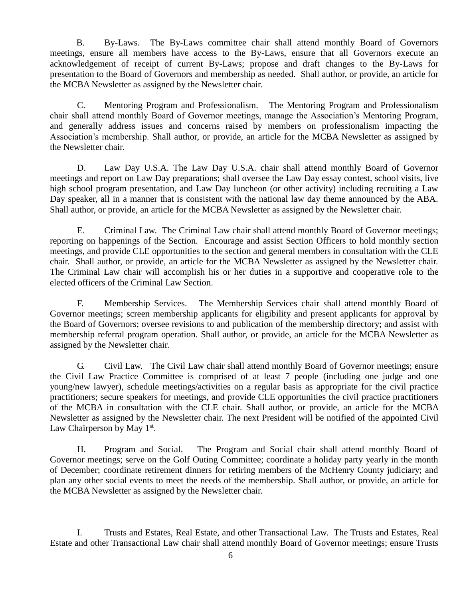B. By-Laws. The By-Laws committee chair shall attend monthly Board of Governors meetings, ensure all members have access to the By-Laws, ensure that all Governors execute an acknowledgement of receipt of current By-Laws; propose and draft changes to the By-Laws for presentation to the Board of Governors and membership as needed. Shall author, or provide, an article for the MCBA Newsletter as assigned by the Newsletter chair.

C. Mentoring Program and Professionalism. The Mentoring Program and Professionalism chair shall attend monthly Board of Governor meetings, manage the Association's Mentoring Program, and generally address issues and concerns raised by members on professionalism impacting the Association's membership. Shall author, or provide, an article for the MCBA Newsletter as assigned by the Newsletter chair.

D. Law Day U.S.A. The Law Day U.S.A. chair shall attend monthly Board of Governor meetings and report on Law Day preparations; shall oversee the Law Day essay contest, school visits, live high school program presentation, and Law Day luncheon (or other activity) including recruiting a Law Day speaker, all in a manner that is consistent with the national law day theme announced by the ABA. Shall author, or provide, an article for the MCBA Newsletter as assigned by the Newsletter chair.

E. Criminal Law. The Criminal Law chair shall attend monthly Board of Governor meetings; reporting on happenings of the Section. Encourage and assist Section Officers to hold monthly section meetings, and provide CLE opportunities to the section and general members in consultation with the CLE chair. Shall author, or provide, an article for the MCBA Newsletter as assigned by the Newsletter chair. The Criminal Law chair will accomplish his or her duties in a supportive and cooperative role to the elected officers of the Criminal Law Section.

F. Membership Services. The Membership Services chair shall attend monthly Board of Governor meetings; screen membership applicants for eligibility and present applicants for approval by the Board of Governors; oversee revisions to and publication of the membership directory; and assist with membership referral program operation. Shall author, or provide, an article for the MCBA Newsletter as assigned by the Newsletter chair.

G. Civil Law. The Civil Law chair shall attend monthly Board of Governor meetings; ensure the Civil Law Practice Committee is comprised of at least 7 people (including one judge and one young/new lawyer), schedule meetings/activities on a regular basis as appropriate for the civil practice practitioners; secure speakers for meetings, and provide CLE opportunities the civil practice practitioners of the MCBA in consultation with the CLE chair. Shall author, or provide, an article for the MCBA Newsletter as assigned by the Newsletter chair. The next President will be notified of the appointed Civil Law Chairperson by May 1<sup>st</sup>.

H. Program and Social. The Program and Social chair shall attend monthly Board of Governor meetings; serve on the Golf Outing Committee; coordinate a holiday party yearly in the month of December; coordinate retirement dinners for retiring members of the McHenry County judiciary; and plan any other social events to meet the needs of the membership. Shall author, or provide, an article for the MCBA Newsletter as assigned by the Newsletter chair.

I. Trusts and Estates, Real Estate, and other Transactional Law. The Trusts and Estates, Real Estate and other Transactional Law chair shall attend monthly Board of Governor meetings; ensure Trusts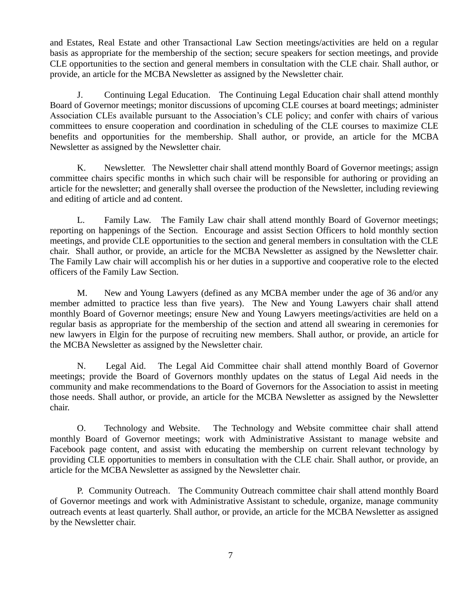and Estates, Real Estate and other Transactional Law Section meetings/activities are held on a regular basis as appropriate for the membership of the section; secure speakers for section meetings, and provide CLE opportunities to the section and general members in consultation with the CLE chair. Shall author, or provide, an article for the MCBA Newsletter as assigned by the Newsletter chair.

J. Continuing Legal Education. The Continuing Legal Education chair shall attend monthly Board of Governor meetings; monitor discussions of upcoming CLE courses at board meetings; administer Association CLEs available pursuant to the Association's CLE policy; and confer with chairs of various committees to ensure cooperation and coordination in scheduling of the CLE courses to maximize CLE benefits and opportunities for the membership. Shall author, or provide, an article for the MCBA Newsletter as assigned by the Newsletter chair.

K. Newsletter. The Newsletter chair shall attend monthly Board of Governor meetings; assign committee chairs specific months in which such chair will be responsible for authoring or providing an article for the newsletter; and generally shall oversee the production of the Newsletter, including reviewing and editing of article and ad content.

L. Family Law. The Family Law chair shall attend monthly Board of Governor meetings; reporting on happenings of the Section. Encourage and assist Section Officers to hold monthly section meetings, and provide CLE opportunities to the section and general members in consultation with the CLE chair. Shall author, or provide, an article for the MCBA Newsletter as assigned by the Newsletter chair. The Family Law chair will accomplish his or her duties in a supportive and cooperative role to the elected officers of the Family Law Section.

M. New and Young Lawyers (defined as any MCBA member under the age of 36 and/or any member admitted to practice less than five years). The New and Young Lawyers chair shall attend monthly Board of Governor meetings; ensure New and Young Lawyers meetings/activities are held on a regular basis as appropriate for the membership of the section and attend all swearing in ceremonies for new lawyers in Elgin for the purpose of recruiting new members. Shall author, or provide, an article for the MCBA Newsletter as assigned by the Newsletter chair.

N. Legal Aid. The Legal Aid Committee chair shall attend monthly Board of Governor meetings; provide the Board of Governors monthly updates on the status of Legal Aid needs in the community and make recommendations to the Board of Governors for the Association to assist in meeting those needs. Shall author, or provide, an article for the MCBA Newsletter as assigned by the Newsletter chair.

O. Technology and Website. The Technology and Website committee chair shall attend monthly Board of Governor meetings; work with Administrative Assistant to manage website and Facebook page content, and assist with educating the membership on current relevant technology by providing CLE opportunities to members in consultation with the CLE chair. Shall author, or provide, an article for the MCBA Newsletter as assigned by the Newsletter chair.

P. Community Outreach. The Community Outreach committee chair shall attend monthly Board of Governor meetings and work with Administrative Assistant to schedule, organize, manage community outreach events at least quarterly. Shall author, or provide, an article for the MCBA Newsletter as assigned by the Newsletter chair.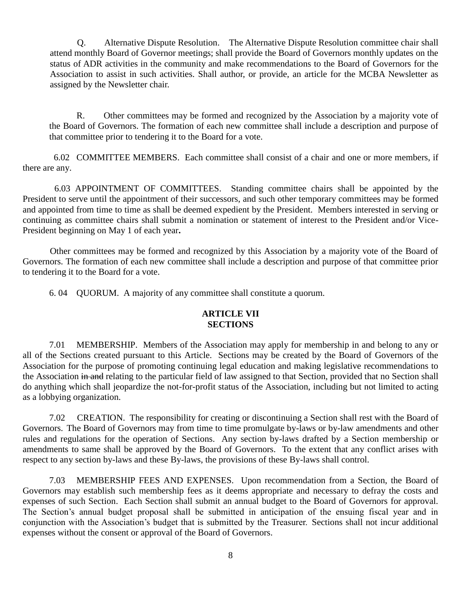Q. Alternative Dispute Resolution. The Alternative Dispute Resolution committee chair shall attend monthly Board of Governor meetings; shall provide the Board of Governors monthly updates on the status of ADR activities in the community and make recommendations to the Board of Governors for the Association to assist in such activities. Shall author, or provide, an article for the MCBA Newsletter as assigned by the Newsletter chair.

R. Other committees may be formed and recognized by the Association by a majority vote of the Board of Governors. The formation of each new committee shall include a description and purpose of that committee prior to tendering it to the Board for a vote.

 6.02 COMMITTEE MEMBERS. Each committee shall consist of a chair and one or more members, if there are any.

 6.03 APPOINTMENT OF COMMITTEES. Standing committee chairs shall be appointed by the President to serve until the appointment of their successors, and such other temporary committees may be formed and appointed from time to time as shall be deemed expedient by the President. Members interested in serving or continuing as committee chairs shall submit a nomination or statement of interest to the President and/or Vice-President beginning on May 1 of each year**.**

Other committees may be formed and recognized by this Association by a majority vote of the Board of Governors. The formation of each new committee shall include a description and purpose of that committee prior to tendering it to the Board for a vote.

6. 04 QUORUM. A majority of any committee shall constitute a quorum.

# **ARTICLE VII SECTIONS**

7.01 MEMBERSHIP. Members of the Association may apply for membership in and belong to any or all of the Sections created pursuant to this Article. Sections may be created by the Board of Governors of the Association for the purpose of promoting continuing legal education and making legislative recommendations to the Association in and relating to the particular field of law assigned to that Section, provided that no Section shall do anything which shall jeopardize the not-for-profit status of the Association, including but not limited to acting as a lobbying organization.

7.02 CREATION. The responsibility for creating or discontinuing a Section shall rest with the Board of Governors. The Board of Governors may from time to time promulgate by-laws or by-law amendments and other rules and regulations for the operation of Sections. Any section by-laws drafted by a Section membership or amendments to same shall be approved by the Board of Governors. To the extent that any conflict arises with respect to any section by-laws and these By-laws, the provisions of these By-laws shall control.

7.03 MEMBERSHIP FEES AND EXPENSES. Upon recommendation from a Section, the Board of Governors may establish such membership fees as it deems appropriate and necessary to defray the costs and expenses of such Section. Each Section shall submit an annual budget to the Board of Governors for approval. The Section's annual budget proposal shall be submitted in anticipation of the ensuing fiscal year and in conjunction with the Association's budget that is submitted by the Treasurer. Sections shall not incur additional expenses without the consent or approval of the Board of Governors.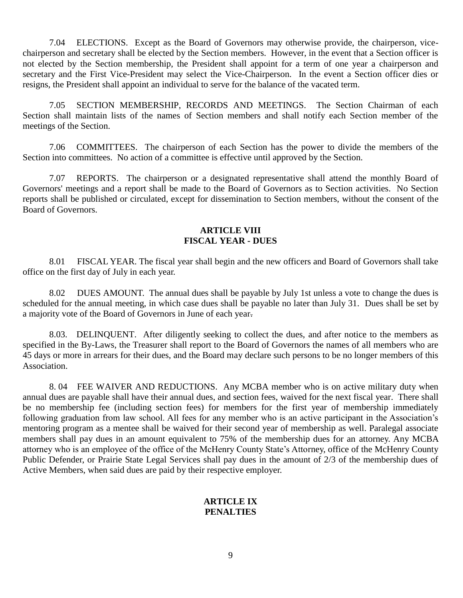7.04 ELECTIONS. Except as the Board of Governors may otherwise provide, the chairperson, vicechairperson and secretary shall be elected by the Section members. However, in the event that a Section officer is not elected by the Section membership, the President shall appoint for a term of one year a chairperson and secretary and the First Vice-President may select the Vice-Chairperson. In the event a Section officer dies or resigns, the President shall appoint an individual to serve for the balance of the vacated term.

7.05 SECTION MEMBERSHIP, RECORDS AND MEETINGS. The Section Chairman of each Section shall maintain lists of the names of Section members and shall notify each Section member of the meetings of the Section.

7.06 COMMITTEES. The chairperson of each Section has the power to divide the members of the Section into committees. No action of a committee is effective until approved by the Section.

7.07 REPORTS. The chairperson or a designated representative shall attend the monthly Board of Governors' meetings and a report shall be made to the Board of Governors as to Section activities. No Section reports shall be published or circulated, except for dissemination to Section members, without the consent of the Board of Governors.

## **ARTICLE VIII FISCAL YEAR - DUES**

8.01 FISCAL YEAR. The fiscal year shall begin and the new officers and Board of Governors shall take office on the first day of July in each year.

8.02 DUES AMOUNT. The annual dues shall be payable by July 1st unless a vote to change the dues is scheduled for the annual meeting, in which case dues shall be payable no later than July 31.Dues shall be set by a majority vote of the Board of Governors in June of each year.

8.03. DELINQUENT. After diligently seeking to collect the dues, and after notice to the members as specified in the By-Laws, the Treasurer shall report to the Board of Governors the names of all members who are 45 days or more in arrears for their dues, and the Board may declare such persons to be no longer members of this Association.

8. 04 FEE WAIVER AND REDUCTIONS. Any MCBA member who is on active military duty when annual dues are payable shall have their annual dues, and section fees, waived for the next fiscal year. There shall be no membership fee (including section fees) for members for the first year of membership immediately following graduation from law school. All fees for any member who is an active participant in the Association's mentoring program as a mentee shall be waived for their second year of membership as well. Paralegal associate members shall pay dues in an amount equivalent to 75% of the membership dues for an attorney. Any MCBA attorney who is an employee of the office of the McHenry County State's Attorney, office of the McHenry County Public Defender, or Prairie State Legal Services shall pay dues in the amount of 2/3 of the membership dues of Active Members, when said dues are paid by their respective employer.

## **ARTICLE IX PENALTIES**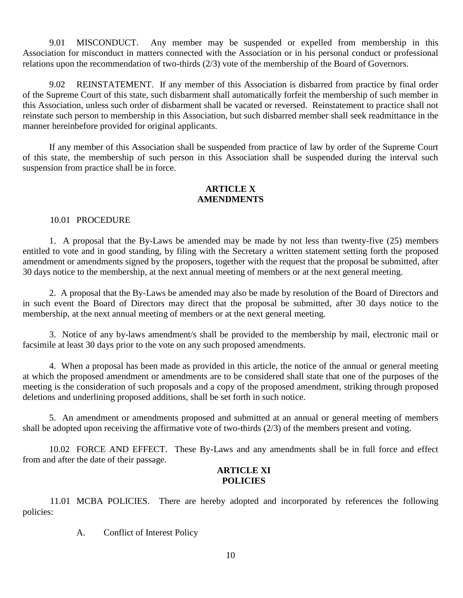9.01 MISCONDUCT. Any member may be suspended or expelled from membership in this Association for misconduct in matters connected with the Association or in his personal conduct or professional relations upon the recommendation of two-thirds (2/3) vote of the membership of the Board of Governors.

9.02 REINSTATEMENT. If any member of this Association is disbarred from practice by final order of the Supreme Court of this state, such disbarment shall automatically forfeit the membership of such member in this Association, unless such order of disbarment shall be vacated or reversed. Reinstatement to practice shall not reinstate such person to membership in this Association, but such disbarred member shall seek readmittance in the manner hereinbefore provided for original applicants.

If any member of this Association shall be suspended from practice of law by order of the Supreme Court of this state, the membership of such person in this Association shall be suspended during the interval such suspension from practice shall be in force.

## **ARTICLE X AMENDMENTS**

### 10.01 PROCEDURE

1. A proposal that the By-Laws be amended may be made by not less than twenty-five (25) members entitled to vote and in good standing, by filing with the Secretary a written statement setting forth the proposed amendment or amendments signed by the proposers, together with the request that the proposal be submitted, after 30 days notice to the membership, at the next annual meeting of members or at the next general meeting.

2. A proposal that the By-Laws be amended may also be made by resolution of the Board of Directors and in such event the Board of Directors may direct that the proposal be submitted, after 30 days notice to the membership, at the next annual meeting of members or at the next general meeting.

3. Notice of any by-laws amendment/s shall be provided to the membership by mail, electronic mail or facsimile at least 30 days prior to the vote on any such proposed amendments.

4. When a proposal has been made as provided in this article, the notice of the annual or general meeting at which the proposed amendment or amendments are to be considered shall state that one of the purposes of the meeting is the consideration of such proposals and a copy of the proposed amendment, striking through proposed deletions and underlining proposed additions, shall be set forth in such notice.

5. An amendment or amendments proposed and submitted at an annual or general meeting of members shall be adopted upon receiving the affirmative vote of two-thirds (2/3) of the members present and voting.

10.02 FORCE AND EFFECT. These By-Laws and any amendments shall be in full force and effect from and after the date of their passage.

### **ARTICLE XI POLICIES**

11.01 MCBA POLICIES. There are hereby adopted and incorporated by references the following policies:

A. Conflict of Interest Policy